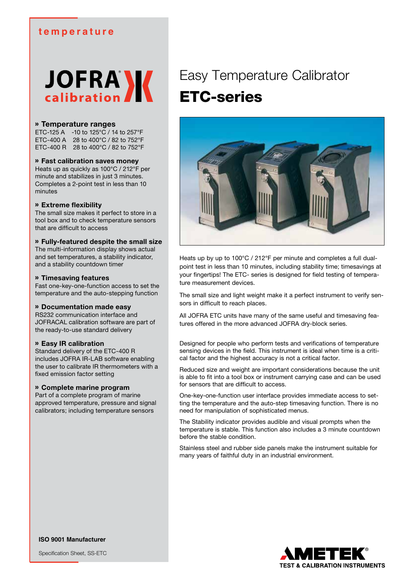### **temperature**

# **JOFRA**<sup>N</sup>

### » **Temperature ranges**

ETC-125 A -10 to 125°C / 14 to 257°F ETC-400 A 28 to 400°C / 82 to 752°F ETC-400 R 28 to 400°C / 82 to 752°F

### » **Fast calibration saves money**

Heats up as quickly as 100°C / 212°F per minute and stabilizes in just 3 minutes. Completes a 2-point test in less than 10 minutes

### » **Extreme flexibility**

The small size makes it perfect to store in a tool box and to check temperature sensors that are difficult to access

### » **Fully-featured despite the small size**

The multi-information display shows actual and set temperatures, a stability indicator, and a stability countdown timer

### » **Timesaving features**

Fast one-key-one-function access to set the temperature and the auto-stepping function

### » **Documentation made easy**

RS232 communication interface and JOFRACAL calibration software are part of the ready-to-use standard delivery

### » **Easy IR calibration**

Standard delivery of the ETC-400 R includes JOFRA IR-LAB software enabling the user to calibrate IR thermometers with a fixed emission factor setting

### » **Complete marine program**

Part of a complete program of marine approved temperature, pressure and signal calibrators; including temperature sensors

### Easy Temperature Calibrator ETC-series



Heats up by up to 100°C / 212°F per minute and completes a full dualpoint test in less than 10 minutes, including stability time; timesavings at your fingertips! The ETC- series is designed for field testing of temperature measurement devices.

The small size and light weight make it a perfect instrument to verify sensors in difficult to reach places.

All JOFRA ETC units have many of the same useful and timesaving features offered in the more advanced JOFRA dry-block series.

Designed for people who perform tests and verifications of temperature sensing devices in the field. This instrument is ideal when time is a critical factor and the highest accuracy is not a critical factor.

Reduced size and weight are important considerations because the unit is able to fit into a tool box or instrument carrying case and can be used for sensors that are difficult to access.

One-key-one-function user interface provides immediate access to setting the temperature and the auto-step timesaving function. There is no need for manipulation of sophisticated menus.

The Stability indicator provides audible and visual prompts when the temperature is stable. This function also includes a 3 minute countdown before the stable condition.

Stainless steel and rubber side panels make the instrument suitable for many years of faithful duty in an industrial environment.



Specification Sheet, SS-ETC

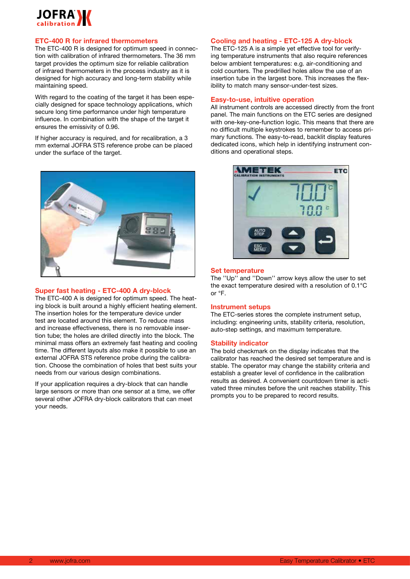

### **ETC-400 R for infrared thermometers**

The ETC-400 R is designed for optimum speed in connection with calibration of infrared thermometers. The 36 mm target provides the optimum size for reliable calibration of infrared thermometers in the process industry as it is designed for high accuracy and long-term stability while maintaining speed.

With regard to the coating of the target it has been especially designed for space technology applications, which secure long time performance under high temperature influence. In combination with the shape of the target it ensures the emissivity of 0.96.

If higher accuracy is required, and for recalibration, a 3 mm external JOFRA STS reference probe can be placed under the surface of the target.



### **Super fast heating - ETC-400 A dry-block**

The ETC-400 A is designed for optimum speed. The heating block is built around a highly efficient heating element. The insertion holes for the temperature device under test are located around this element. To reduce mass and increase effectiveness, there is no removable insertion tube; the holes are drilled directly into the block. The minimal mass offers an extremely fast heating and cooling time. The different layouts also make it possible to use an external JOFRA STS reference probe during the calibration. Choose the combination of holes that best suits your needs from our various design combinations.

If your application requires a dry-block that can handle large sensors or more than one sensor at a time, we offer several other JOFRA dry-block calibrators that can meet your needs.

### **Cooling and heating - ETC-125 A dry-block**

The ETC-125 A is a simple yet effective tool for verifying temperature instruments that also require references below ambient temperatures: e.g. air-conditioning and cold counters. The predrilled holes allow the use of an insertion tube in the largest bore. This increases the flexibility to match many sensor-under-test sizes.

### **Easy-to-use, intuitive operation**

All instrument controls are accessed directly from the front panel. The main functions on the ETC series are designed with one-key-one-function logic. This means that there are no difficult multiple keystrokes to remember to access primary functions. The easy-to-read, backlit display features dedicated icons, which help in identifying instrument conditions and operational steps.



### **Set temperature**

The ''Up'' and ''Down'' arrow keys allow the user to set the exact temperature desired with a resolution of 0.1°C or °F.

### **Instrument setups**

The ETC-series stores the complete instrument setup, including: engineering units, stability criteria, resolution, auto-step settings, and maximum temperature.

### **Stability indicator**

The bold checkmark on the display indicates that the calibrator has reached the desired set temperature and is stable. The operator may change the stability criteria and establish a greater level of confidence in the calibration results as desired. A convenient countdown timer is activated three minutes before the unit reaches stability. This prompts you to be prepared to record results.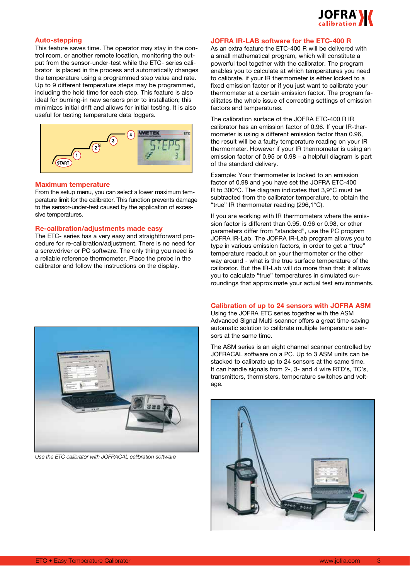

### **Auto-stepping**

This feature saves time. The operator may stay in the control room, or another remote location, monitoring the output from the sensor-under-test while the ETC- series calibrator is placed in the process and automatically changes the temperature using a programmed step value and rate. Up to 9 different temperature steps may be programmed, including the hold time for each step. This feature is also ideal for burning-in new sensors prior to installation; this minimizes initial drift and allows for initial testing. It is also useful for testing temperature data loggers.



### **Maximum temperature**

From the setup menu, you can select a lower maximum temperature limit for the calibrator. This function prevents damage to the sensor-under-test caused by the application of excessive temperatures.

### **Re-calibration/adjustments made easy**

The ETC- series has a very easy and straightforward procedure for re-calibration/adjustment. There is no need for a screwdriver or PC software. The only thing you need is a reliable reference thermometer. Place the probe in the calibrator and follow the instructions on the display.



*Use the ETC calibrator with JOFRACAL calibration software*

### **JOFRA IR-LAB software for the ETC-400 R**

As an extra feature the ETC-400 R will be delivered with a small mathematical program, which will constitute a powerful tool together with the calibrator. The program enables you to calculate at which temperatures you need to calibrate, if your IR thermometer is either locked to a fixed emission factor or if you just want to calibrate your thermometer at a certain emission factor. The program facilitates the whole issue of correcting settings of emission factors and temperatures.

The calibration surface of the JOFRA ETC-400 R IR calibrator has an emission factor of 0,96. If your IR-thermometer is using a different emission factor than 0.96, the result will be a faulty temperature reading on your IR thermometer. However if your IR thermometer is using an emission factor of 0.95 or 0.98 – a helpfull diagram is part of the standard delivery.

Example: Your thermometer is locked to an emission factor of 0,98 and you have set the JOFRA ETC-400 R to 300°C. The diagram indicates that 3,9°C must be subtracted from the calibrator temperature, to obtain the "true" IR thermometer reading (296,1°C).

If you are working with IR thermometers where the emission factor is different than 0.95, 0.96 or 0.98, or other parameters differ from "standard", use the PC program JOFRA IR-Lab. The JOFRA IR-Lab program allows you to type in various emission factors, in order to get a "true" temperature readout on your thermometer or the other way around - what is the true surface temperature of the calibrator. But the IR-Lab will do more than that; it allows you to calculate "true" temperatures in simulated surroundings that approximate your actual test environments.

### **Calibration of up to 24 sensors with JOFRA ASM**

Using the JOFRA ETC series together with the ASM Advanced Signal Multi-scanner offers a great time-saving automatic solution to calibrate multiple temperature sensors at the same time.

The ASM series is an eight channel scanner controlled by JOFRACAL software on a PC. Up to 3 ASM units can be stacked to calibrate up to 24 sensors at the same time. It can handle signals from 2-, 3- and 4 wire RTD's, TC's, transmitters, thermisters, temperature switches and voltage.

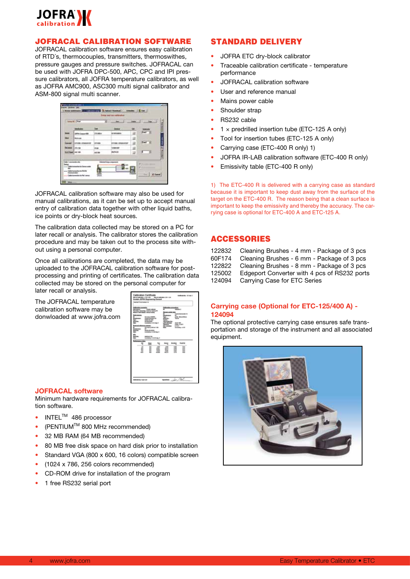

### JOFRACAL CALIBRATION SOFTWARE

JOFRACAL calibration software ensures easy calibration of RTD´s, thermocouples, transmitters, thermoswithes, pressure gauges and pressure switches. JOFRACAL can be used with JOFRA DPC-500, APC, CPC and IPI pressure calibrators, all JOFRA temperature calibrators, as well as JOFRA AMC900, ASC300 multi signal calibrator and ASM-800 signal multi scanner.

|                 | <b>Solar M Text</b> | я                            |                       |   |               |
|-----------------|---------------------|------------------------------|-----------------------|---|---------------|
|                 |                     | <b>Ise</b>                   | 3,646.6               | ш |               |
| <b>CASH</b>     | To Consumer \$100   | DOM:A                        | <b>HYMEANA</b>        | ä | <b>East H</b> |
| ٠               | <b>Back on</b>      |                              |                       | ヨ |               |
| <b>Like and</b> | $\cdots$            | <b><i><u>STORICA</u></i></b> | <b><i>INSURED</i></b> | 註 | E             |
| hai aman        | <b>LIFE NO.</b>     | <b>POST</b>                  | <b>M4 MF</b>          | 退 |               |
|                 | Eatlied HCHL        | ACC: TOP                     | <b>Big Walk</b>       | 山 | 遥<br>з        |

JOFRACAL calibration software may also be used for manual calibrations, as it can be set up to accept manual entry of calibration data together with other liquid baths, ice points or dry-block heat sources.

The calibration data collected may be stored on a PC for later recall or analysis. The calibrator stores the calibration procedure and may be taken out to the process site without using a personal computer.

Once all calibrations are completed, the data may be uploaded to the JOFRACAL calibration software for postprocessing and printing of certificates. The calibration data collected may be stored on the personal computer for later recall or analysis.

The JOFRACAL temperature calibration software may be donwloaded at www.jofra.com



### **JOFRACAL software**

Minimum hardware requirements for JOFRACAL calibration software.

- $\bullet$  INTEL<sup>TM</sup> 486 processor
- $(PENTIUM<sup>TM</sup> 800 MHz$  recommended)
- 32 MB RAM (64 MB recommended)
- 80 MB free disk space on hard disk prior to installation
- Standard VGA (800 x 600, 16 colors) compatible screen
- $(1024 \times 786, 256$  colors recommended)
- CD-ROM drive for installation of the program
- 1 free RS232 serial port

### STANDARD DELIVERY

- JOFRA ETC dry-block calibrator
- Traceable calibration certificate temperature performance
- JOFRACAL calibration software
- User and reference manual
- Mains power cable
- Shoulder strap
- RS232 cable
- $1 \times$  predrilled insertion tube (ETC-125 A only)
- Tool for insertion tubes (ETC-125 A only)
- Carrying case (ETC-400 R only) 1)
- JOFRA IR-LAB calibration software (ETC-400 R only)
- Emissivity table (ETC-400 R only)

1) The ETC-400 R is delivered with a carrying case as standard because it is important to keep dust away from the surface of the target on the ETC-400 R. The reason being that a clean surface is important to keep the emissivity and thereby the accuracy. The carrying case is optional for ETC-400 A and ETC-125 A.

### ACCESSORIES

| 122832 | Cleaning Brushes - 4 mm - Package of 3 pcs   |
|--------|----------------------------------------------|
| 60F174 | Cleaning Brushes - 6 mm - Package of 3 pcs   |
| 122822 | Cleaning Brushes - 8 mm - Package of 3 pcs   |
| 125002 | Edgeport Converter with 4 pcs of RS232 ports |
| 124094 | Carrying Case for ETC Series                 |

### **Carrying case (Optional for ETC-125/400 A) - 124094**

The optional protective carrying case ensures safe transportation and storage of the instrument and all associated equipment.

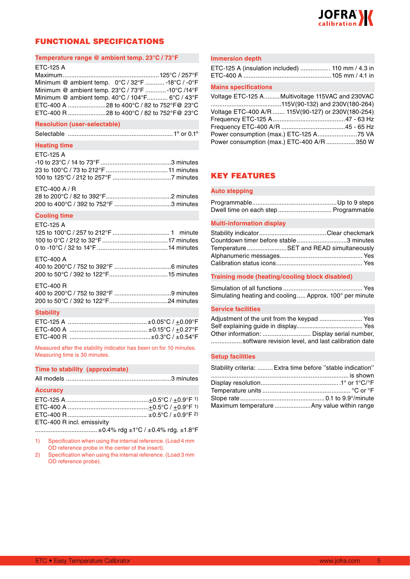

### FUNCTIONAL SPECIFICATIONS

### **Temperature range @ ambient temp. 23°C / 73°F**

### ETC-125 A

Maximum........................................................125°C / 257°F Minimum @ ambient temp. 0°C / 32°F ........... -18°C / -0°F Minimum @ ambient temp. 23°C / 73°F ............-10°C /14°F Minimum @ ambient temp. 40°C / 104°F............ 6°C / 43°F ETC-400 A ......................28 to 400°C / 82 to 752°F@ 23°C ETC-400 R ......................28 to 400°C / 82 to 752°F@ 23°C

### **Resolution (user-selectable)**

| Selectable |  |  |  |  |  |
|------------|--|--|--|--|--|
|------------|--|--|--|--|--|

### **Heating time**

| <b>ETC-125 A</b> |  |
|------------------|--|
|                  |  |
|                  |  |
|                  |  |
| $ETC-400 A/R$    |  |

### **Cooling time**

| <b>ETC-125 A</b> |  |  |
|------------------|--|--|
|------------------|--|--|

| FTC-400 A |  |
|-----------|--|

| --------- |  |
|-----------|--|
|           |  |
|           |  |

| ETC-400 R                   |
|-----------------------------|
| 400 to 200°C / 752 to 392°F |

### **Stability**

Measured after the stability indicator has been on for 10 minutes. Measuring time is 30 minutes.

### **Time to stability (approximate)**

|--|--|--|

### **Accuracy**

| ETC-400 R incl. emissivity |  |
|----------------------------|--|

.....................................±0.4% rdg ±1°C / ±0.4% rdg. ±1.8°F

- 1) Specification when using the internal reference. (Load 4 mm OD reference probe in the center of the insert).
- 2) Specification when using the internal reference. (Load 3 mm OD reference probe).

### **Immersion depth**

| ETC-125 A (insulation included)  110 mm / 4.3 in |  |  |
|--------------------------------------------------|--|--|
|                                                  |  |  |

### **Mains specifications**

| Voltage ETC-125 A Multivoltage 115VAC and 230VAC   |  |
|----------------------------------------------------|--|
|                                                    |  |
| Voltage ETC-400 A/R  115V(90-127) or 230V(180-254) |  |
|                                                    |  |
|                                                    |  |
|                                                    |  |
| Power consumption (max.) ETC-400 A/R 350 W         |  |

### KEY FEATURES

### **Auto stepping**

| Dwell time on each step Programmable |  |
|--------------------------------------|--|

### **Multi-information display**

| Countdown timer before stable 3 minutes |  |
|-----------------------------------------|--|
| TemperatureSET and READ simultaneously  |  |
|                                         |  |
|                                         |  |

### **Training mode (heating/cooling block disabled)**

Simulation of all functions .............................................. Yes Simulating heating and cooling..... Approx. 100° per minute

### **Service facilities**

| Adjustment of the unit from the keypad  Yes        |  |
|----------------------------------------------------|--|
|                                                    |  |
| Other information:  Display serial number,         |  |
| software revision level, and last calibration date |  |

### **Setup facilities**

| Stability criteria:  Extra time before "stable indication" |
|------------------------------------------------------------|
|                                                            |
|                                                            |
|                                                            |
|                                                            |
| Maximum temperature Any value within range                 |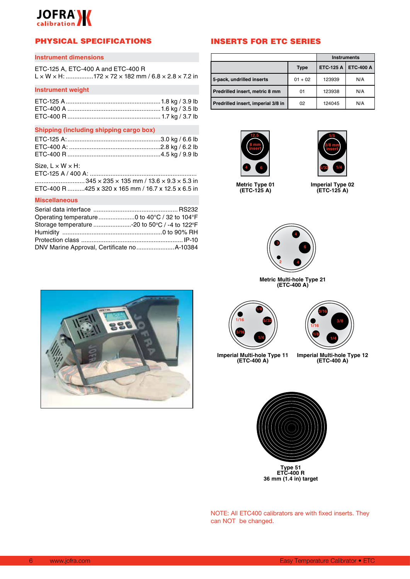## **JOFRA**

### PHYSICAL SPECIFICATIONS

### **Instrument dimensions**

| ETC-125 A, ETC-400 A and ETC-400 R |                                                                                            |
|------------------------------------|--------------------------------------------------------------------------------------------|
|                                    | $L \times W \times H$ : 172 $\times$ 72 $\times$ 182 mm / 6.8 $\times$ 2.8 $\times$ 7.2 in |

### **Instrument weight**

### **Shipping (including shipping cargo box)**

### Size,  $L \times W \times H$ :

| ETC-400 R 425 x 320 x 165 mm / 16.7 x 12.5 x 6.5 in |
|-----------------------------------------------------|

### **Miscellaneous**

| Storage temperature -20 to 50°C / -4 to 122°F |  |
|-----------------------------------------------|--|
|                                               |  |
|                                               |  |
|                                               |  |

### INSERTS FOR ETC SERIES

|                                    |             | <b>Instruments</b> |                  |
|------------------------------------|-------------|--------------------|------------------|
|                                    | <b>Type</b> | ETC-125 A          | <b>ETC-400 A</b> |
| 5-pack, undrilled inserts          | $01 + 02$   | 123939             | N/A              |
| Predrilled insert, metric 8 mm     | 01          | 123938             | N/A              |
| Predrilled insert, imperial 3/8 in | 02          | 124045             | N/A              |





**Metric Type 01 (ETC-125 A)**

**Imperial Type 02 (ETC-125 A)**



**Metric Multi-hole Type 21 (ETC-400 A)**





**Imperial Multi-hole Type 11 (ETC-400 A)**

**Imperial Multi-hole Type 12 (ETC-400 A)**



NOTE: All ETC400 calibrators are with fixed inserts. They can NOT be changed.

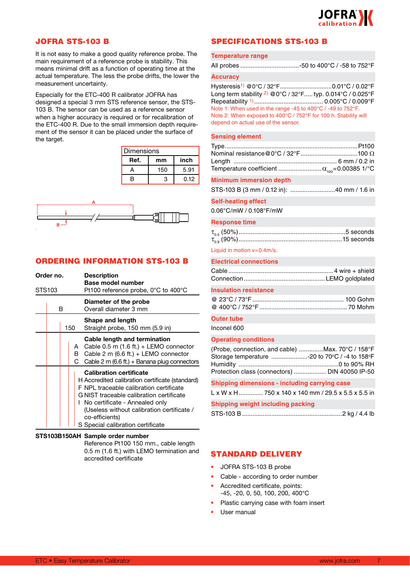

### JOFRA STS-103 B

It is not easy to make a good quality reference probe. The main requirement of a reference probe is stability. This means minimal drift as a function of operating time at the actual temperature. The less the probe drifts, the lower the measurement uncertainty.

Especially for the ETC-400 R calibrator JOFRA has designed a special 3 mm STS reference sensor, the STS-103 B. The sensor can be used as a reference sensor when a higher accuracy is required or for recalibration of the ETC-400 R. Due to the small immersion depth requirement of the sensor it can be placed under the surface of the target.

| Dimensions |     |      |  |
|------------|-----|------|--|
| Ref.       | mm  | inch |  |
|            | 150 | 5.91 |  |
| R          | з   | 0.12 |  |



### ORDERING INFORMATION STS-103 B

| Order no. |     |        | <b>Description</b><br><b>Base model number</b>                                                                                                                                                                                                                                                                  |
|-----------|-----|--------|-----------------------------------------------------------------------------------------------------------------------------------------------------------------------------------------------------------------------------------------------------------------------------------------------------------------|
| STS103    |     |        | Pt100 reference probe, $0^{\circ}$ C to 400 $^{\circ}$ C                                                                                                                                                                                                                                                        |
|           | в   |        | Diameter of the probe<br>Overall diameter 3 mm                                                                                                                                                                                                                                                                  |
|           | 150 |        | Shape and length<br>Straight probe, 150 mm (5.9 in)                                                                                                                                                                                                                                                             |
|           |     | в<br>C | Cable length and termination<br>A Cable $0.5$ m $(1.6$ ft.) + LEMO connector<br>Cable 2 m (6.6 ft.) + LEMO connector<br>Cable 2 m (6.6 ft.) + Banana plug connectors                                                                                                                                            |
|           |     |        | <b>Calibration certificate</b><br>H Accredited calibration certificate (standard)<br>F NPL traceable calibration certificate<br>G NIST traceable calibration certificate<br>No certificate - Annealed only<br>(Useless without calibration certificate /<br>co-efficients)<br>S Special calibration certificate |

### **STS103B150AH Sample order number**

 Reference Pt100 150 mm., cable length 0.5 m (1.6 ft.) with LEMO termination and accredited certificate

### SPECIFICATIONS STS-103 B

### **Temperature range**

| All probes -50 to 400°C / -58 to 752°F |  |  |  |  |
|----------------------------------------|--|--|--|--|
|----------------------------------------|--|--|--|--|

### **Accuracy**

Hysteresis<sup>1)</sup> @0°C / 32°F................................0.01°C / 0.02°F Long term stability 2) @0°C / 32°F..... typ. 0.014°C / 0.025°F Repeatability 1)........................................ 0.005°C / 0.009°F Note 1: When used in the range -45 to 400°C / -49 to 752°F. Note 2: When exposed to 400°C / 752°F for 100 h. Stability will depend on actual use of the sensor.

### **Sensing element**

### **Minimum immersion depth**

STS-103 B (3 mm / 0.12 in): ..........................40 mm / 1.6 in

### **Self-heating effect**

0.06°C/mW / 0.108°F/mW

### **Response time**

Liquid in motion v=0.4m/s.

| <b>Electrical connections</b> |
|-------------------------------|
|                               |

### **Insulation resistance**

### **Outer tube**

Inconel 600

### **Operating conditions**

| (Probe, connection, and cable) Max. 70°C / 158°F |
|--------------------------------------------------|
| Storage temperature -20 to 70°C / -4 to 158°F    |
|                                                  |
| Protection class (connectors)  DIN 40050 IP-50   |

### **Shipping dimensions - including carrying case**

L x W x H.............. 750 x 140 x 140 mm / 29.5 x 5.5 x 5.5 in

**Shipping weight including packing**

### STANDARD DELIVERY

- JOFRA STS-103 B probe
- Cable according to order number
- Accredited certificate, points: -45, -20, 0, 50, 100, 200, 400°C
- Plastic carrying case with foam insert
- User manual